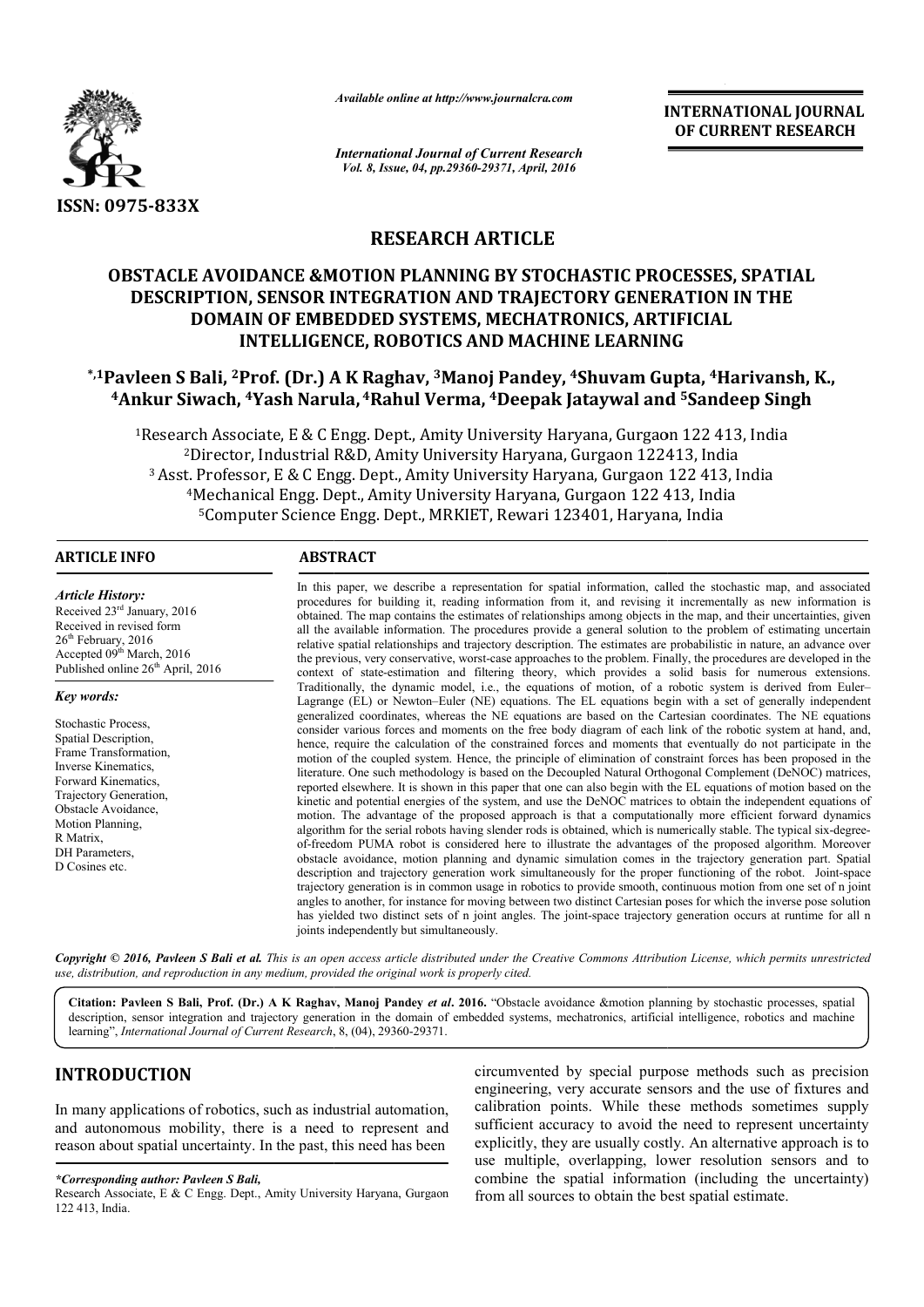

*Available online at http://www.journalcra.com*

*International Journal of Current Research Vol. 8, Issue, 04, pp.29360-29371, April, 2016*

**INTERNATIONAL JOURNAL OF CURRENT RESEARCH** 

# **RESEARCH ARTICLE**

# **OBSTACLE AVOIDANCE &MOTION PLANNING BY STOCHASTIC PROCESSES, SPATIAL PLANNING BY DESCRIPTION, SENSOR INTEGRATION AND TRAJECTORY GENERATION IN THE DOMAIN OF EMBEDDED SYSTEMS, MECHATRONICS, ARTIFICIAL INTELLIGENCE, ROBOTICS AND MACHINE LEARNING IDANCE &MOTION PLANNING BY STOCHASTIC PROCESS<br>N, SENSOR INTEGRATION AND TRAJECTORY GENERATION<br>NN OF EMBEDDED SYSTEMS, MECHATRONICS, ARTIFICI<br>INTELLIGENCE, ROBOTICS AND MACHINE LEARNING<br>Prof. (Dr.) A K Raghav, <sup>3</sup>Manoj Pan** GRATION AND TRAJECTORY GENERATION IN THE<br>ED SYSTEMS, MECHATRONICS, ARTIFICIAL<br>ROBOTICS AND MACHINE LEARNING

# **\*,1Pavleen S Bali, 2Prof. (Dr.) A K Raghav, Shuvam 4Harivansh, K., 4Ankur Siwach, 4Yash Narula, Yash 4Rahul Verma, 4Deepak Jataywal and Deepak 5Sandeep Singh**

1Research Associate, E & C Engg. Dept., Amity University Haryana, Gurgaon 122 413, India 2Director, Industrial R&D, Amity University Haryana, Gurgaon 122413, India 3 Asst. Professor, E & C Engg. Dept., Amity University Haryana, Gurgaon 122 413, India 4Mechanical Engg. Dept., Amity University Haryana, Gurgaon 122 413, India Gurgaon 122 5Computer Science Engg. Dept., MRKIE T, Rewari Research Associate, E & C Engg. Dept., Amity University Haryana, Gurgaon 122 413, In<br>
<sup>2</sup> Director, Industrial R&D, Amity University Haryana, Gurgaon 122413, India<br>
<sup>3</sup> Asst. Professor, E & C Engg. Dept., Amity University

 $\overline{a}$ 

#### **ARTICLE INFO ABSTRACT**

*Article History:* Received 23rd January, 2016 Received in revised form 26<sup>th</sup> February, 2016 Accepted 09<sup>th</sup> March, 2016 Published online 26<sup>th</sup> April, 2016

#### *Key words:*

Stochastic Process, Spatial Description, Frame Transformation, Inverse Kinematics, Forward Kinematics, Trajectory Generation, Obstacle Avoidance, Motion Planning, R Matrix, DH Parameters, D Cosines etc.

procedures for building it, reading information from it, and revising it incrementally as new information is obtained. The map contains the estimates of relationships among objects in the map, and their uncertainties, given all the available information. The procedures provide a general solution to the problem of estimating uncertain relative spatial relationships and trajectory description. The estimates are probabilistic in nature, an advance over the previous, very conservative, worst-case approaches to the problem. Finally, the procedures are developed in the In this paper, we describe a representation for spatial information, called the stochastic map, and associated<br>procedures for building it, reading information from it, and revising it incrementally as new information is<br>ob Traditionally, the dynamic model, i.e., the equations of motion, of a robotic system is derived from Euler– Lagrange (EL) or Newton–Euler (NE) equations. The EL equations begin with a set of generally independent generalized coordinates, whereas the NE equations are based on the Cartesian coordinates. The NE equations consider various forces and moments on the free body diagram of each link of the robotic system at hand, and, generalized coordinates, whereas the NE equations are based on the Cartesian coordinates. The NE equations consider various forces and moments on the free body diagram of each link of the robotic system at hand, and, hence motion of the coupled system. Hence, the principle of elimination of constraint forces has been proposed in the literature. One such methodology is based on the Decoupled Natural Orthogonal Complement (DeNOC) matrices, reported elsewhere. It is shown in this paper that one can also begin with the EL equations of motion based on the kinetic and potential energies of the system, and use the DeNOC matrices to obtain the independent equations of motion. The advantage of the proposed approach is that a computationally more efficient forward dynamics algorithm for the serial robots having slender rods is obtained, which is numerically stable. The typical six of-freedom PUMA robot is considered here to illustrate the advantages of the proposed algorithm. Moreover obstacle avoidance, motion planning and dynamic simulation comes in the trajectory generation part. Spatial description and trajectory generation work simultaneously for the proper functioning of the robot. Joint-space trajectory generation is in common usage in robotics to provide smooth, continuous motion from one set of n joint trajectory generation is in common usage in robotics to provide smooth, continuous motion from one set of n joint<br>angles to another, for instance for moving between two distinct Cartesian poses for which the inverse pose s has yielded two distinct sets of n joint angles. The joint-space trajectory generation occurs at runtime for all n joints independently but simultaneously. otion. The advantage of the proposed approach is that a computationally more efficient forward dynamics<br>gorithm for the serial robots having slender rods is obtained, which is numerically stable. The typical six-degree-<br>E-Lagrange (EL) or Newton–Euler (NE) equations. The EL equations begin with a set of generally independent generalized coordinates, whereas the NE equations are based on the Cartesian coordinates. The NE equations consider v reported elsewhere. It is shown in this paper that one can also begin with the EL equations of motion based on the kinetic and potential energies of the system, and use the DeNOC matrices to obtain the independent equation of-freedom PUMA robot is considered here to illustrate the advantages of the proposed algorithm. Moreover<br>obstacle avoidance, motion planning and dynamic simulation comes in the trajectory generation part. Spatial<br>descript INTERNATIONAL JOURNAL<br>
Sesarch<br>
CF CURRENT RESEARCH<br>
CF COCHASTIC PROCESSES, SPATIAL<br>
CF COCHASTIC PROCESSES, SPATIAL<br>
LE ECTORY GENERATION IN THE<br>
ETORY GENERATION IN THE<br>
ATRONICS, ARTIFICIAL<br>
CHINE LEARNING<br>
Ley, "Shuv

In this paper, we describe a representation for spatial information, called the stochastic map, and associated

*Copyright © 2016, Pavleen S Bali et al. This is an open access article distributed under the Creative Commons Attribution License, which ribution permits unrestricted use, distribution, and reproduction in any medium, provided the original work is properly cited.*

**Citation: Pavleen S Bali, Prof. (Dr.) A K Raghav, Manoj Pandey** *et al***. 2016.** "Obstacle avoidance &motion planning by stochastic processes, spatial Citation: Pavleen S Bali, Prof. (Dr.) A K Raghav, Manoj Pandey et al. 2016. "Obstacle avoidance &motion planning by stochastic processes, spatial description, sensor integration and trajectory generation in the domain of e learning", *International Journal of Current Research*, 8, (04), 29360-29371.

# **INTRODUCTION**

In many applications of robotics, such as industrial automation, and autonomous mobility, there is a need to represent and reason about spatial uncertainty. In the past, this need has been

*\*Corresponding author: Pavleen S Bali,*

circumvented by special purpose methods such as precision engineering, very accurate sensors and the use of fixtures and calibration points. While these methods sometimes supply sufficient accuracy to avoid the need to represent uncertainty explicitly, they are usually costly. An alternative approach is to use multiple, overlapping, lower resolution sensors and to combine the spatial information (including the uncertainty) from all sources to obtain the best spatial estimate.

Research Associate, E & C Engg. Dept., Amity University Haryana, Gurgaon 122 413, India.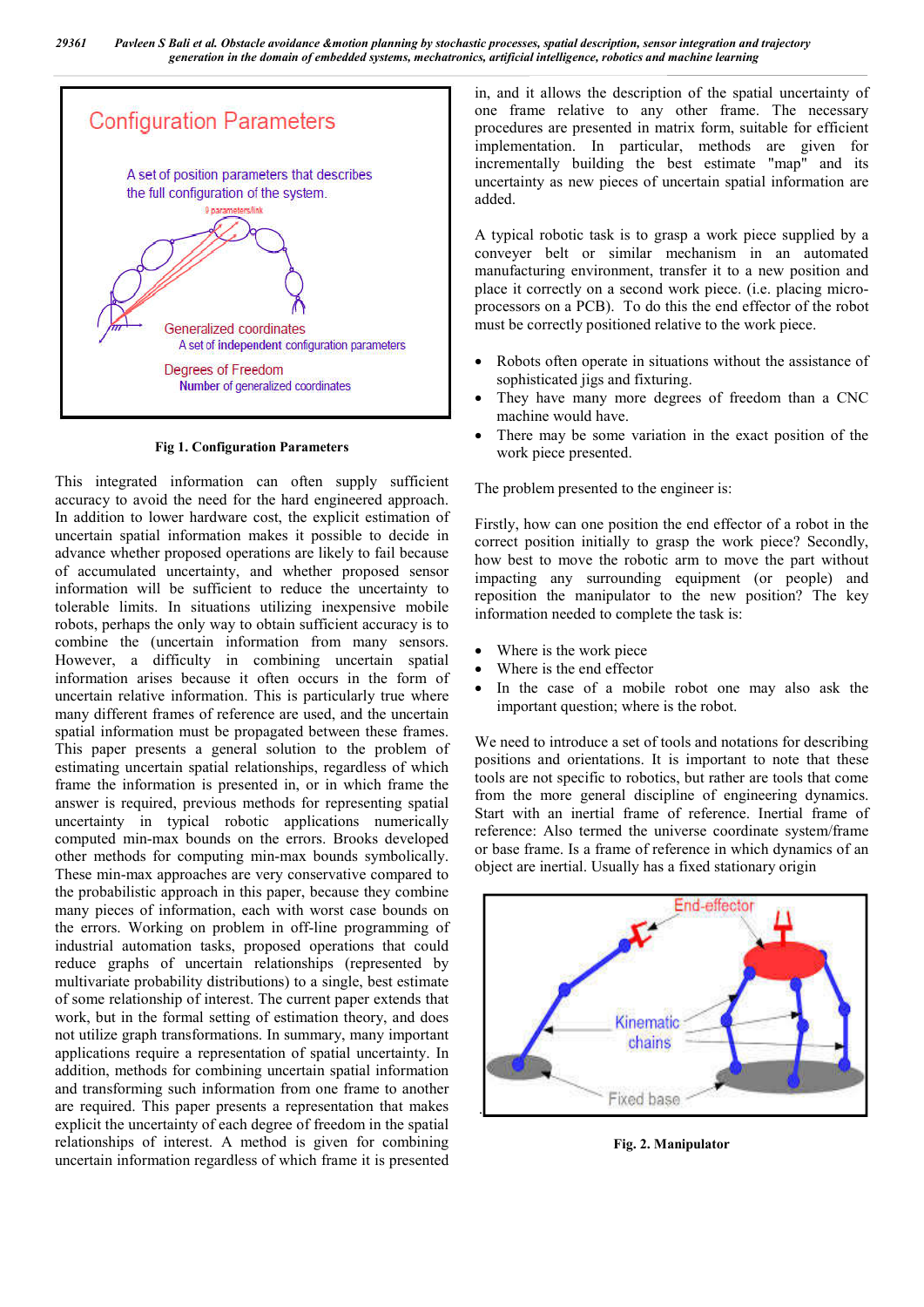

**Fig 1. Configuration Parameters**

This integrated information can often supply sufficient accuracy to avoid the need for the hard engineered approach. In addition to lower hardware cost, the explicit estimation of uncertain spatial information makes it possible to decide in advance whether proposed operations are likely to fail because of accumulated uncertainty, and whether proposed sensor information will be sufficient to reduce the uncertainty to tolerable limits. In situations utilizing inexpensive mobile robots, perhaps the only way to obtain sufficient accuracy is to combine the (uncertain information from many sensors. However, a difficulty in combining uncertain spatial information arises because it often occurs in the form of uncertain relative information. This is particularly true where many different frames of reference are used, and the uncertain spatial information must be propagated between these frames. This paper presents a general solution to the problem of estimating uncertain spatial relationships, regardless of which frame the information is presented in, or in which frame the answer is required, previous methods for representing spatial uncertainty in typical robotic applications numerically computed min-max bounds on the errors. Brooks developed other methods for computing min-max bounds symbolically. These min-max approaches are very conservative compared to the probabilistic approach in this paper, because they combine many pieces of information, each with worst case bounds on the errors. Working on problem in off-line programming of industrial automation tasks, proposed operations that could reduce graphs of uncertain relationships (represented by multivariate probability distributions) to a single, best estimate of some relationship of interest. The current paper extends that work, but in the formal setting of estimation theory, and does not utilize graph transformations. In summary, many important applications require a representation of spatial uncertainty. In addition, methods for combining uncertain spatial information and transforming such information from one frame to another are required. This paper presents a representation that makes explicit the uncertainty of each degree of freedom in the spatial relationships of interest. A method is given for combining uncertain information regardless of which frame it is presented in, and it allows the description of the spatial uncertainty of one frame relative to any other frame. The necessary procedures are presented in matrix form, suitable for efficient implementation. In particular, methods are given for incrementally building the best estimate "map" and its uncertainty as new pieces of uncertain spatial information are added.

A typical robotic task is to grasp a work piece supplied by a conveyer belt or similar mechanism in an automated manufacturing environment, transfer it to a new position and place it correctly on a second work piece. (i.e. placing microprocessors on a PCB). To do this the end effector of the robot must be correctly positioned relative to the work piece.

- Robots often operate in situations without the assistance of sophisticated jigs and fixturing.
- They have many more degrees of freedom than a CNC machine would have.
- There may be some variation in the exact position of the work piece presented.

The problem presented to the engineer is:

Firstly, how can one position the end effector of a robot in the correct position initially to grasp the work piece? Secondly, how best to move the robotic arm to move the part without impacting any surrounding equipment (or people) and reposition the manipulator to the new position? The key information needed to complete the task is:

- Where is the work piece
- Where is the end effector
- In the case of a mobile robot one may also ask the important question; where is the robot.

We need to introduce a set of tools and notations for describing positions and orientations. It is important to note that these tools are not specific to robotics, but rather are tools that come from the more general discipline of engineering dynamics. Start with an inertial frame of reference. Inertial frame of reference: Also termed the universe coordinate system/frame or base frame. Is a frame of reference in which dynamics of an object are inertial. Usually has a fixed stationary origin



**Fig. 2. Manipulator**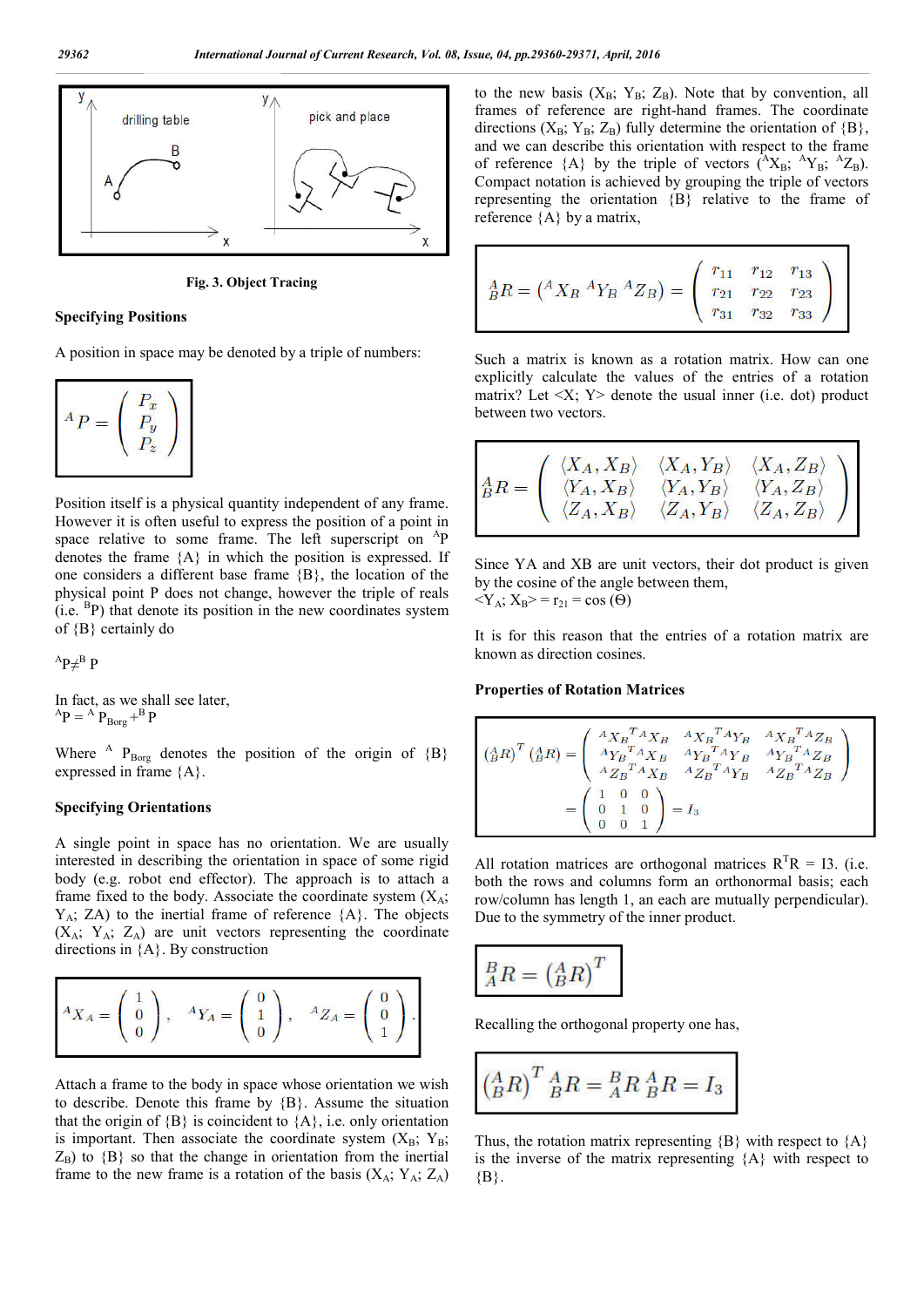

**Fig. 3. Object Tracing**

#### **Specifying Positions**

A position in space may be denoted by a triple of numbers:

$$
{}^A P = \left( \begin{array}{c} P_x \\ P_y \\ P_z \end{array} \right)
$$

Position itself is a physical quantity independent of any frame. However it is often useful to express the position of a point in space relative to some frame. The left superscript on <sup>A</sup>P denotes the frame {A} in which the position is expressed. If one considers a different base frame {B}, the location of the physical point P does not change, however the triple of reals  $(i.e. <sup>B</sup>P)$  that denote its position in the new coordinates system of {B} certainly do

 ${}^{\mathbf{A}}\mathbf{P}\neq{}^{\mathbf{B}}\mathbf{P}$ 

In fact, as we shall see later,  ${}^{\rm A}P={}^{\rm A}P_{\rm Borg}+{}^{\rm B}P$ 

Where  $A$  P<sub>Borg</sub> denotes the position of the origin of  ${B}$ expressed in frame {A}.

## **Specifying Orientations**

A single point in space has no orientation. We are usually interested in describing the orientation in space of some rigid body (e.g. robot end effector). The approach is to attach a frame fixed to the body. Associate the coordinate system  $(X_A;$  $Y_A$ ; ZA) to the inertial frame of reference  ${A}$ . The objects  $(X_A; Y_A; Z_A)$  are unit vectors representing the coordinate directions in {A}. By construction

$$
{}^AX_A=\left(\begin{array}{c}1\\0\\0\end{array}\right),\quad {}^AY_A=\left(\begin{array}{c}0\\1\\0\end{array}\right),\quad {}^AZ_A=\left(\begin{array}{c}0\\0\\1\end{array}\right).
$$

Attach a frame to the body in space whose orientation we wish to describe. Denote this frame by {B}. Assume the situation that the origin of  ${B}$  is coincident to  ${A}$ , i.e. only orientation is important. Then associate the coordinate system  $(X_B; Y_B;$  $Z_B$ ) to  $\{B\}$  so that the change in orientation from the inertial frame to the new frame is a rotation of the basis  $(X_A; Y_A; Z_A)$  to the new basis  $(X_B; Y_B; Z_B)$ . Note that by convention, all frames of reference are right-hand frames. The coordinate directions  $(X_B; Y_B; Z_B)$  fully determine the orientation of  ${B}$ , and we can describe this orientation with respect to the frame of reference  ${A}$  by the triple of vectors  $({}^{A}X_{B}; {}^{A}Y_{B}; {}^{A}Z_{B}).$ Compact notation is achieved by grouping the triple of vectors representing the orientation {B} relative to the frame of reference {A} by a matrix,

$$
{}_{B}^{A}R = ({}^{A}X_{B} {}^{A}Y_{B} {}^{A}Z_{B}) = \begin{pmatrix} r_{11} & r_{12} & r_{13} \\ r_{21} & r_{22} & r_{23} \\ r_{31} & r_{32} & r_{33} \end{pmatrix}
$$

Such a matrix is known as a rotation matrix. How can one explicitly calculate the values of the entries of a rotation matrix? Let  $\langle X; Y \rangle$  denote the usual inner (i.e. dot) product between two vectors.

$$
{}_{B}^{A}R=\left(\begin{array}{cc} \langle X_{A},X_{B}\rangle & \langle X_{A},Y_{B}\rangle & \langle X_{A},Z_{B}\rangle \\ \langle Y_{A},X_{B}\rangle & \langle Y_{A},Y_{B}\rangle & \langle Y_{A},Z_{B}\rangle \\ \langle Z_{A},X_{B}\rangle & \langle Z_{A},Y_{B}\rangle & \langle Z_{A},Z_{B}\rangle \end{array}\right)
$$

Since YA and XB are unit vectors, their dot product is given by the cosine of the angle between them,  $(Y_A; X_B > = r_{21} = \cos(\Theta))$ 

It is for this reason that the entries of a rotation matrix are known as direction cosines.

#### **Properties of Rotation Matrices**

$$
\begin{pmatrix} {^{A}_{B}R} \end{pmatrix}^{T} \begin{pmatrix} {^{A}_{B}R} \end{pmatrix} = \begin{pmatrix} {^{A}_{X}}_{B}^T{^{A}_{X}}_{B} & {^{A}_{X}}_{B}^T{^{A}_{Y}}_{B} & {^{A}_{X}}_{B}^T{^{A}_{X}}_{B} \\ {^{A}_{Y}}_{B}^T{^{A}_{X}}_{B} & {^{A}_{Y}}_{B}^T{^{A}_{Y}}_{B} & {^{A}_{Y}}_{B}^T{^{A}_{X}}_{B} \\ {^{A}_{Z}}_{B}^T{^{A}_{X}}_{B} & {^{A}_{Z}}_{B}^T{^{A}_{Y}}_{B} & {^{A}_{Z}}_{B}^T{^{A}_{X}}_{B} \\ 0 & 1 & 0 \\ 0 & 0 & 1 \end{pmatrix} = I_3
$$

All rotation matrices are orthogonal matrices  $R^{T}R = 13$ . (i.e. both the rows and columns form an orthonormal basis; each row/column has length 1, an each are mutually perpendicular). Due to the symmetry of the inner product.

$$
^{B}_{A}R=\left( ^{A}_{B}R\right) ^{T}
$$

Recalling the orthogonal property one has,

$$
\left(\begin{smallmatrix}A \\ B\end{smallmatrix}\right)^{T}\left.\begin{smallmatrix}A \\ B\end{smallmatrix}\right R=\left.\begin{smallmatrix}B \\ A\end{smallmatrix}\right R \left.\begin{smallmatrix}A \\ B\end{smallmatrix}\right R=I_{3}
$$

Thus, the rotation matrix representing  ${B}$  with respect to  ${A}$ is the inverse of the matrix representing  ${A}$  with respect to {B}.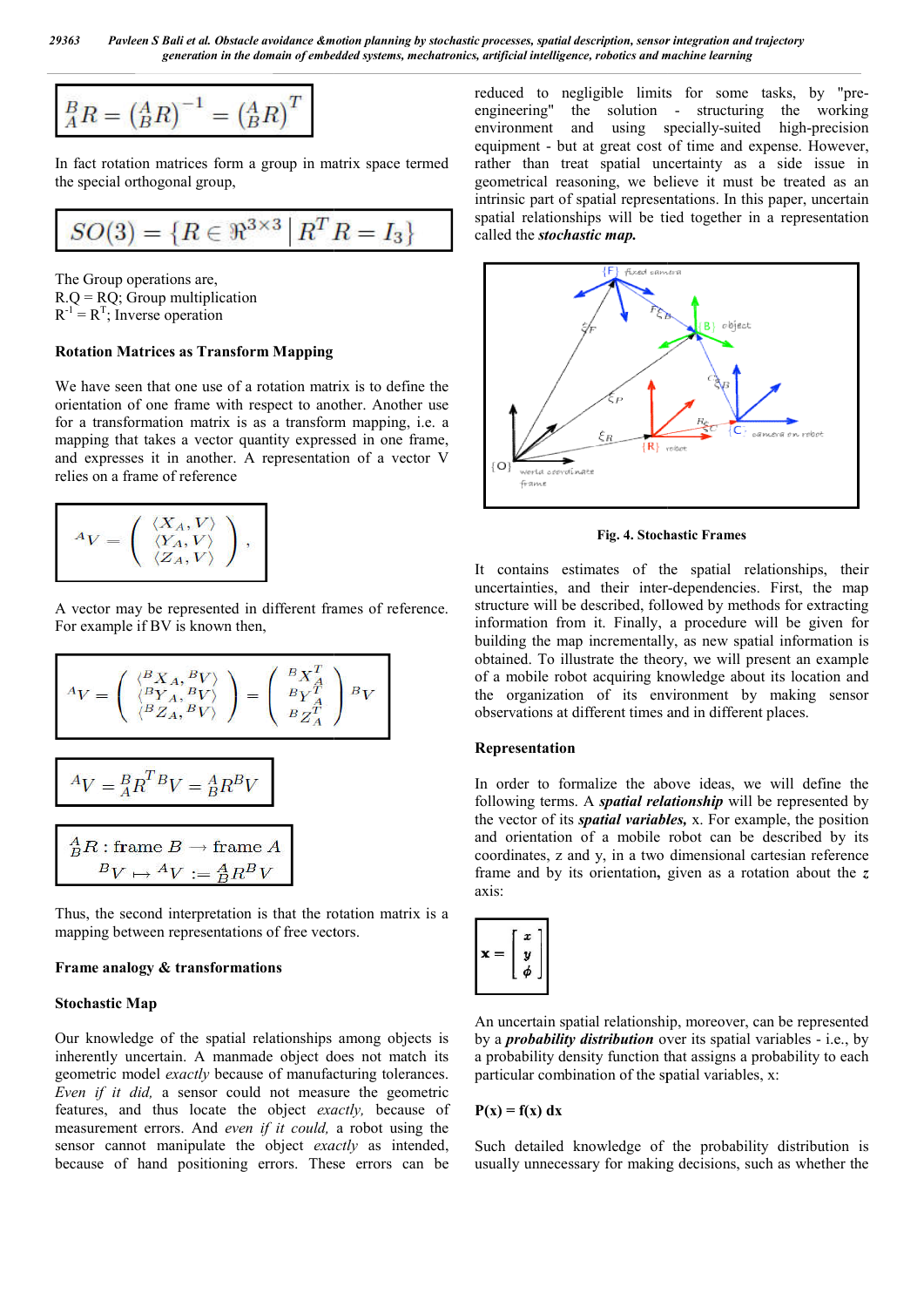*29363 Pavleen S Bali et al. Obstacle avoidance &motion planning by stochastic pr processes, spatial description, sensor integration and trajectory*  generation in the domain of embedded systems, mechatronics, artificial intelligence, robotics and machine learning

$$
{}_A^BR=\left( {}_B^AR\right) ^{-1}=\left( {}_B^AR\right) ^T
$$

In fact rotation matrices form a group in matrix space termed the special orthogonal group,

$$
SO(3) = \{R \in \Re^{3 \times 3} \, \big| \, R^T R = I_3 \}
$$

The Group operations are,  $R.Q = RQ$ ; Group multiplication  $R^{-1} = R^{T}$ ; Inverse operation

## **Rotation Matrices as Transform Mapping**

We have seen that one use of a rotation matrix is to define the orientation of one frame with respect to another. Another use for a transformation matrix is as a transform mapping, i.e. a mapping that takes a vector quantity expressed in one frame, and expresses it in another. A representation of a vector V relies on a frame of reference



A vector may be represented in different frames of reference. For example if BV is known then,

$$
{}^AV=\left(\begin{array}{c} \langle ^BX_A, {}^BV_C\rangle \\ \langle ^BY_A, {}^BV_C\rangle \\ \langle ^BZ_A, {}^BV_\rangle \end{array}\right)=\left(\begin{array}{c} {}^BX_A^T \\ {}^BY_A^T \\ {}^BX_A^T \\ {}^BT_A \end{array}\right){}^BV
$$

$$
{}^{A}V = {}^{B}_{A}R^{T}{}^{B}V = {}^{A}_{B}R^{B}V
$$

$$
{}^{A}_{B}R : \text{frame } B \to \text{frame } A
$$

$$
{}^{B}V \mapsto {}^{A}V := {}^{A}_{B}R^{B}V
$$

Thus, the second interpretation is that the rotation matrix is a mapping between representations of free vectors.

#### **Frame analogy & transformations**

#### **Stochastic Map**

Our knowledge of the spatial relationships among objects is inherently uncertain. A manmade object does not match its geometric model *exactly* because of manufacturing tolerances. *Even if it did,* a sensor could not measure the geometric features, and thus locate the object *exactly,*  measurement errors. And *even if it could,*  a robot using the sensor cannot manipulate the object *exactly*  as intended, because of hand positioning errors. These errors can be her. A representation of a vector V<br>
here<br>  $\begin{pmatrix} 1 \end{pmatrix}$ ,<br>  $\begin{pmatrix} 1 \end{pmatrix}$ ,<br>  $\begin{pmatrix} 1 \end{pmatrix}$ <br>  $\begin{pmatrix} 1 \end{pmatrix}$ <br>  $\begin{pmatrix} 1 \end{pmatrix}$ <br>  $\begin{pmatrix} 1 \end{pmatrix}$ <br>  $\begin{pmatrix} 1 \end{pmatrix}$ <br>  $\begin{pmatrix} 1 \end{pmatrix}$ <br>  $\begin{pmatrix} 1 \end{pmatrix}$ <br>  $\begin{pmatrix} 1 \end{pmatrix$ 

reduced to negligible limits for some tasks, by "preengineering" the solution - structuring the working environment and using specially-suited high-precision equipment - but at great cost of time and expense. However, rather than treat spatial uncertainty as a side issue in geometrical reasoning, we believe it must be treated as an intrinsic part of spatial representations. In this paper, uncertain spatial relationships will be tied tog geometrical reasoning, we believe it must be treated as an intrinsic part of spatial representations. In this paper, uncertain spatial relationships will be tied together in a representation called the *stochastic map.*



**Fig. 4. Stochastic Frames**

It contains estimates of the spatial relationships, their It contains estimates of the spatial relationships, their uncertainties, and their inter-dependencies. First, the map structure will be described, followed by methods for extracting information from it. Finally, a procedure will be given for information from it. Finally, a procedure will be given for building the map incrementally, as new spatial information is obtained. To illustrate the theory, we will present an example of a mobile robot acquiring knowledge about its location and the organization of its environment by making sensor observations at different times and in different pl obtained. To illustrate the theory, we will present are of a mobile robot acquiring knowledge about its loc<br>the organization of its environment by makin<br>observations at different times and in different places.

#### **Representation**

In order to formalize the above ideas, we will define the In order to formalize the above ideas, we will define the following terms. A *spatial relationship* will be represented by the vector of its *spatial variables,*  x. For example, the position and orientation of a mobile robot can be described by its coordinates, z and y, in a two dimensional cartesian reference frame and by its orientation, given as a rotation about the z axis: can be described by its<br>sional cartesian reference<br>as a rotation about the z

| Ĩ, |  | x<br>y |
|----|--|--------|
|----|--|--------|

An uncertain spatial relationship, moreover, can be represented by a *probability distribution* over its spatial variables - i.e., by a probability density function that assigns a probability to each particular combination of the spatial variables, x:

## $P(x) = f(x) dx$

Such detailed knowledge of the probability distribution is usually unnecessary for making decisions, such as whether the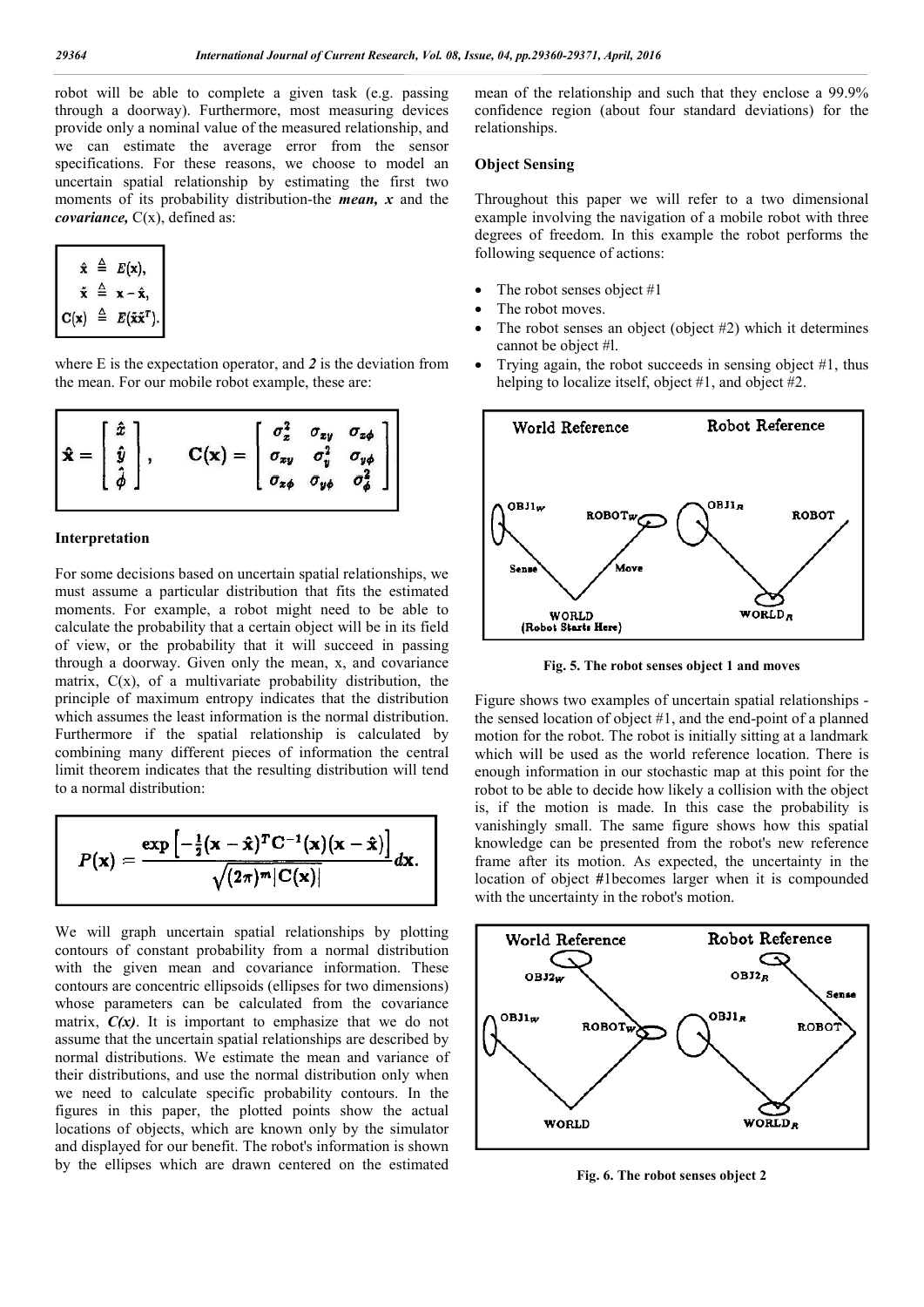robot will be able to complete a given task (e.g. passing through a doorway). Furthermore, most measuring devices provide only a nominal value of the measured relationship, and we can estimate the average error from the sensor specifications. For these reasons, we choose to model an uncertain spatial relationship by estimating the first two moments of its probability distribution-the *mean, x* and the *covariance, C(x)*, defined as:

$$
\hat{\mathbf{x}} \triangleq E(\mathbf{x}),
$$
  
\n
$$
\tilde{\mathbf{x}} \triangleq \mathbf{x} - \hat{\mathbf{x}},
$$
  
\n
$$
\mathbf{C}(\mathbf{x}) \triangleq E(\tilde{\mathbf{x}}\tilde{\mathbf{x}}^T).
$$

where E is the expectation operator, and *2* is the deviation from the mean. For our mobile robot example, these are:

$$
\hat{\mathbf{x}} = \begin{bmatrix} \hat{x} \\ \hat{y} \\ \hat{\phi} \end{bmatrix}, \quad \mathbf{C}(\mathbf{x}) = \begin{bmatrix} \sigma_z^2 & \sigma_{xy} & \sigma_{x\phi} \\ \sigma_{xy} & \sigma_y^2 & \sigma_{y\phi} \\ \sigma_{x\phi} & \sigma_{y\phi} & \sigma_{\phi}^2 \end{bmatrix}
$$

#### **Interpretation**

For some decisions based on uncertain spatial relationships, we must assume a particular distribution that fits the estimated moments. For example, a robot might need to be able to calculate the probability that a certain object will be in its field of view, or the probability that it will succeed in passing through a doorway. Given only the mean, x, and covariance matrix, C(x), of a multivariate probability distribution, the principle of maximum entropy indicates that the distribution which assumes the least information is the normal distribution. Furthermore if the spatial relationship is calculated by combining many different pieces of information the central limit theorem indicates that the resulting distribution will tend to a normal distribution:

$$
P(\mathbf{x}) = \frac{\exp\left[-\frac{1}{2}(\mathbf{x}-\hat{\mathbf{x}})^T\mathbf{C}^{-1}(\mathbf{x})(\mathbf{x}-\hat{\mathbf{x}})\right]}{\sqrt{(2\pi)^m|\mathbf{C}(\mathbf{x})|}}d\mathbf{x}.
$$

We will graph uncertain spatial relationships by plotting contours of constant probability from a normal distribution with the given mean and covariance information. These contours are concentric ellipsoids (ellipses for two dimensions) whose parameters can be calculated from the covariance matrix,  $C(x)$ . It is important to emphasize that we do not assume that the uncertain spatial relationships are described by normal distributions. We estimate the mean and variance of their distributions, and use the normal distribution only when we need to calculate specific probability contours. In the figures in this paper, the plotted points show the actual locations of objects, which are known only by the simulator and displayed for our benefit. The robot's information is shown by the ellipses which are drawn centered on the estimated

mean of the relationship and such that they enclose a 99.9% confidence region (about four standard deviations) for the relationships.

#### **Object Sensing**

Throughout this paper we will refer to a two dimensional example involving the navigation of a mobile robot with three degrees of freedom. In this example the robot performs the following sequence of actions:

- The robot senses object #1
- The robot moves.
- The robot senses an object (object #2) which it determines cannot be object #l.
- Trying again, the robot succeeds in sensing object #1, thus helping to localize itself, object #1, and object #2.



**Fig. 5. The robot senses object 1 and moves**

Figure shows two examples of uncertain spatial relationships the sensed location of object #1, and the end-point of a planned motion for the robot. The robot is initially sitting at a landmark which will be used as the world reference location. There is enough information in our stochastic map at this point for the robot to be able to decide how likely a collision with the object is, if the motion is made. In this case the probability is vanishingly small. The same figure shows how this spatial knowledge can be presented from the robot's new reference frame after its motion. As expected, the uncertainty in the location of object **#**1becomes larger when it is compounded with the uncertainty in the robot's motion.



**Fig. 6. The robot senses object 2**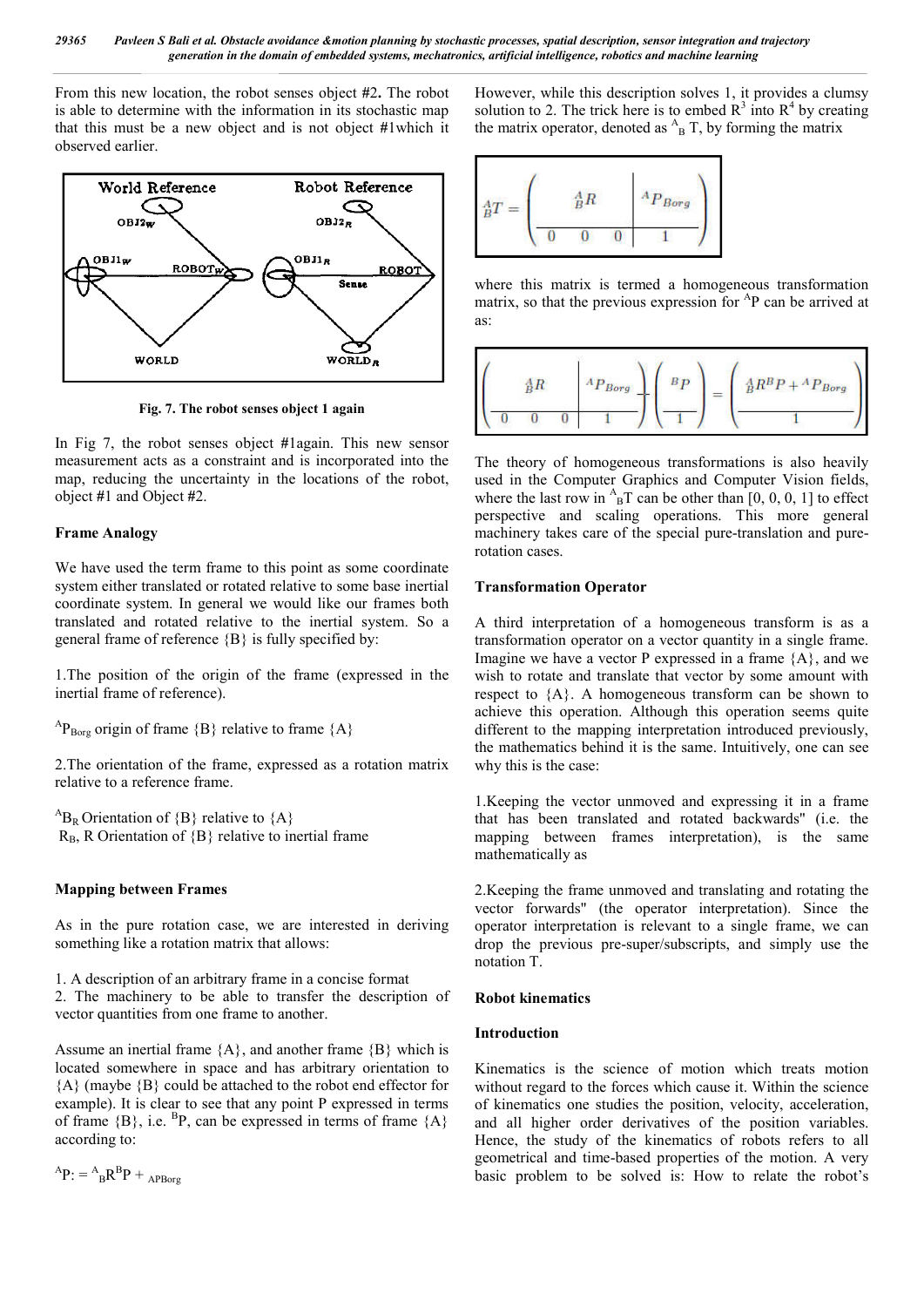From this new location, the robot senses object **#**2**.** The robot is able to determine with the information in its stochastic map that this must be a new object and is not object **#**1which it observed earlier.



**Fig. 7. The robot senses object 1 again**

In Fig 7, the robot senses object **#**1again. This new sensor measurement acts as a constraint and is incorporated into the map, reducing the uncertainty in the locations of the robot, object **#**1 and Object **#**2.

# **Frame Analogy**

We have used the term frame to this point as some coordinate system either translated or rotated relative to some base inertial coordinate system. In general we would like our frames both translated and rotated relative to the inertial system. So a general frame of reference {B} is fully specified by:

1.The position of the origin of the frame (expressed in the inertial frame of reference).

 ${}^{A}P_{Borg}$  origin of frame {B} relative to frame {A}

2.The orientation of the frame, expressed as a rotation matrix relative to a reference frame.

 ${}^{A}B_{R}$  Orientation of {B} relative to {A}  $R_B$ , R Orientation of  ${B}$  relative to inertial frame

# **Mapping between Frames**

As in the pure rotation case, we are interested in deriving something like a rotation matrix that allows:

1. A description of an arbitrary frame in a concise format 2. The machinery to be able to transfer the description of vector quantities from one frame to another.

Assume an inertial frame {A}, and another frame {B} which is located somewhere in space and has arbitrary orientation to {A} (maybe {B} could be attached to the robot end effector for example). It is clear to see that any point P expressed in terms of frame  ${B}$ , i.e. <sup>B</sup>P, can be expressed in terms of frame  ${A}$ according to:

 ${}^{\text{A}}\text{P}$ : =  ${}^{\text{A}}{}_{\text{B}}\text{R}{}^{\text{B}}\text{P}$  +  ${}_{\text{APBorg}}$ 

However, while this description solves 1, it provides a clumsy solution to 2. The trick here is to embed  $R<sup>3</sup>$  into  $R<sup>4</sup>$  by creating the matrix operator, denoted as  $A_B T$ , by forming the matrix

|     |  | Borg |  |
|-----|--|------|--|
| a s |  |      |  |

where this matrix is termed a homogeneous transformation matrix, so that the previous expression for <sup>A</sup>P can be arrived at as:

$$
\left(\begin{array}{c|c} & A \\ \hline 0 & 0 & 0 \\ \hline 0 & 0 & 0 \\ \end{array}\right) \xrightarrow{AP_{Borg}} \left(\begin{array}{c} B \\ \hline 1 \\ \hline 1 \\ \end{array}\right) = \left(\begin{array}{c} \frac{A}{B}R^{B}P + {}^{A}P_{Borg} \\ \hline 1 \\ \hline 1 \\ \end{array}\right)
$$

The theory of homogeneous transformations is also heavily used in the Computer Graphics and Computer Vision fields, where the last row in  $^{A}{}_{B}T$  can be other than [0, 0, 0, 1] to effect perspective and scaling operations. This more general machinery takes care of the special pure-translation and purerotation cases.

# **Transformation Operator**

A third interpretation of a homogeneous transform is as a transformation operator on a vector quantity in a single frame. Imagine we have a vector P expressed in a frame {A}, and we wish to rotate and translate that vector by some amount with respect to {A}. A homogeneous transform can be shown to achieve this operation. Although this operation seems quite different to the mapping interpretation introduced previously, the mathematics behind it is the same. Intuitively, one can see why this is the case:

1.Keeping the vector unmoved and expressing it in a frame that has been translated and rotated backwards" (i.e. the mapping between frames interpretation), is the same mathematically as

2.Keeping the frame unmoved and translating and rotating the vector forwards" (the operator interpretation). Since the operator interpretation is relevant to a single frame, we can drop the previous pre-super/subscripts, and simply use the notation T.

# **Robot kinematics**

# **Introduction**

Kinematics is the science of motion which treats motion without regard to the forces which cause it. Within the science of kinematics one studies the position, velocity, acceleration, and all higher order derivatives of the position variables. Hence, the study of the kinematics of robots refers to all geometrical and time-based properties of the motion. A very basic problem to be solved is: How to relate the robot's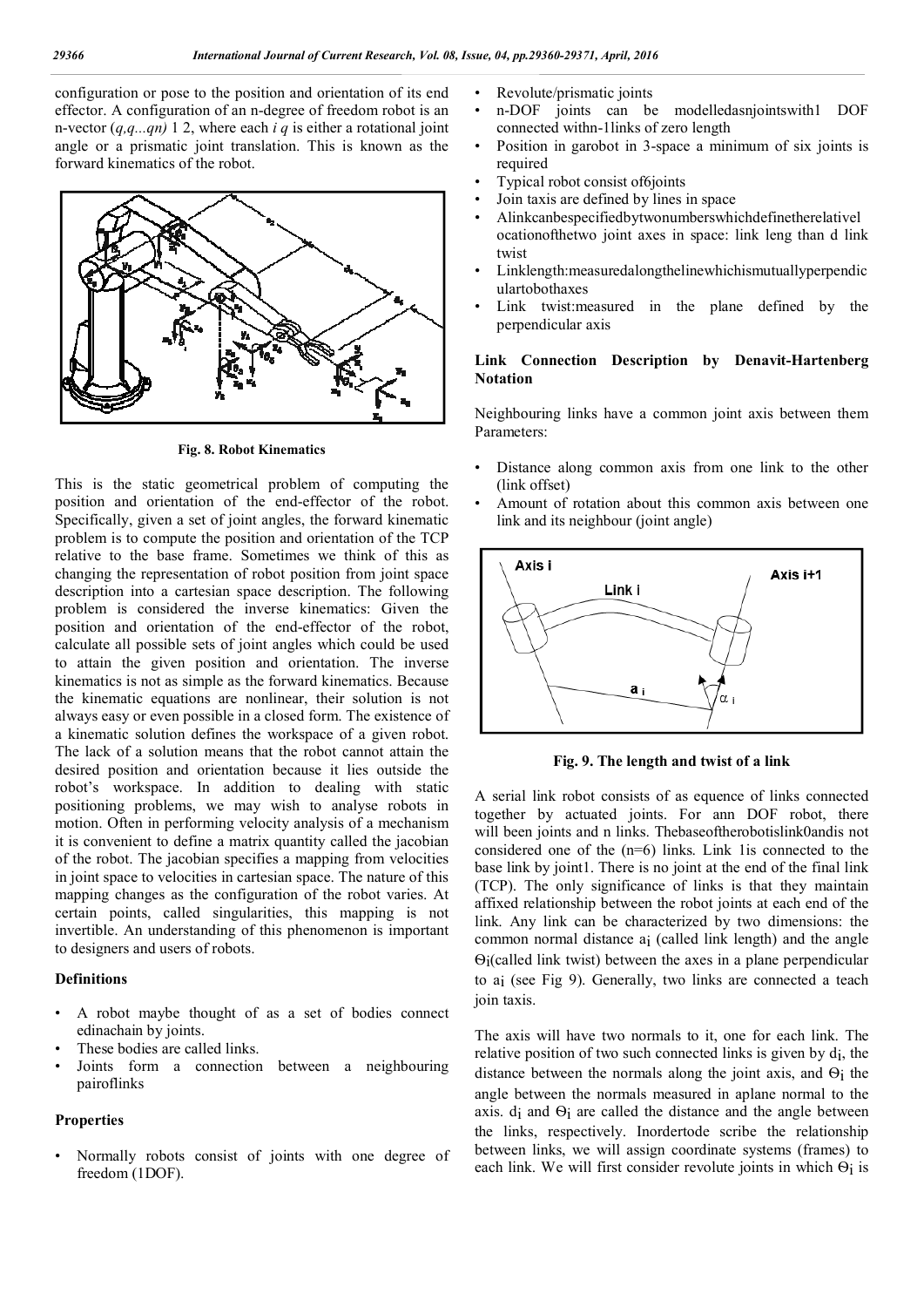configuration or pose to the position and orientation of its end effector. A configuration of an n-degree of freedom robot is an n-vector (*q,q...qn)* 1 2, where each *i q* is either a rotational joint angle or a prismatic joint translation. This is known as the forward kinematics of the robot.



**Fig. 8. Robot Kinematics**

This is the static geometrical problem of computing the position and orientation of the end-effector of the robot. Specifically, given a set of joint angles, the forward kinematic problem is to compute the position and orientation of the TCP relative to the base frame. Sometimes we think of this as changing the representation of robot position from joint space description into a cartesian space description. The following problem is considered the inverse kinematics: Given the position and orientation of the end-effector of the robot, calculate all possible sets of joint angles which could be used to attain the given position and orientation. The inverse kinematics is not as simple as the forward kinematics. Because the kinematic equations are nonlinear, their solution is not always easy or even possible in a closed form. The existence of a kinematic solution defines the workspace of a given robot. The lack of a solution means that the robot cannot attain the desired position and orientation because it lies outside the robot's workspace. In addition to dealing with static positioning problems, we may wish to analyse robots in motion. Often in performing velocity analysis of a mechanism it is convenient to define a matrix quantity called the jacobian of the robot. The jacobian specifies a mapping from velocities in joint space to velocities in cartesian space. The nature of this mapping changes as the configuration of the robot varies. At certain points, called singularities, this mapping is not invertible. An understanding of this phenomenon is important to designers and users of robots.

#### **Definitions**

- A robot maybe thought of as a set of bodies connect edinachain by joints.
- These bodies are called links.
- Joints form a connection between a neighbouring pairoflinks

#### **Properties**

Normally robots consist of joints with one degree of freedom (1DOF).

- Revolute/prismatic joints
- n-DOF joints can be modelledasnjointswith1 DOF connected withn-1links of zero length
- Position in garobot in 3-space a minimum of six joints is required
- Typical robot consist of6joints
- Join taxis are defined by lines in space
- Alinkcanbespecifiedbytwonumberswhichdefinetherelativel ocationofthetwo joint axes in space: link leng than d link twist
- Linklength:measuredalongthelinewhichismutuallyperpendic ulartobothaxes
- Link twist: measured in the plane defined by the perpendicular axis

## **Link Connection Description by Denavit-Hartenberg Notation**

Neighbouring links have a common joint axis between them Parameters:

- Distance along common axis from one link to the other (link offset)
- Amount of rotation about this common axis between one link and its neighbour (joint angle)



**Fig. 9. The length and twist of a link**

A serial link robot consists of as equence of links connected together by actuated joints. For ann DOF robot, there will been joints and n links. Thebaseoftherobotislink0andis not considered one of the (n=6) links. Link 1is connected to the base link by joint1. There is no joint at the end of the final link (TCP). The only significance of links is that they maintain affixed relationship between the robot joints at each end of the link. Any link can be characterized by two dimensions: the common normal distance ai (called link length) and the angle  $\Theta$ i(called link twist) between the axes in a plane perpendicular to ai (see Fig 9). Generally, two links are connected a teach join taxis.

The axis will have two normals to it, one for each link. The relative position of two such connected links is given by di, the distance between the normals along the joint axis, and  $Θ$ <sub>i</sub> the angle between the normals measured in aplane normal to the axis. di and Ѳi are called the distance and the angle between the links, respectively. Inordertode scribe the relationship between links, we will assign coordinate systems (frames) to each link. We will first consider revolute joints in which  $\Theta$ i is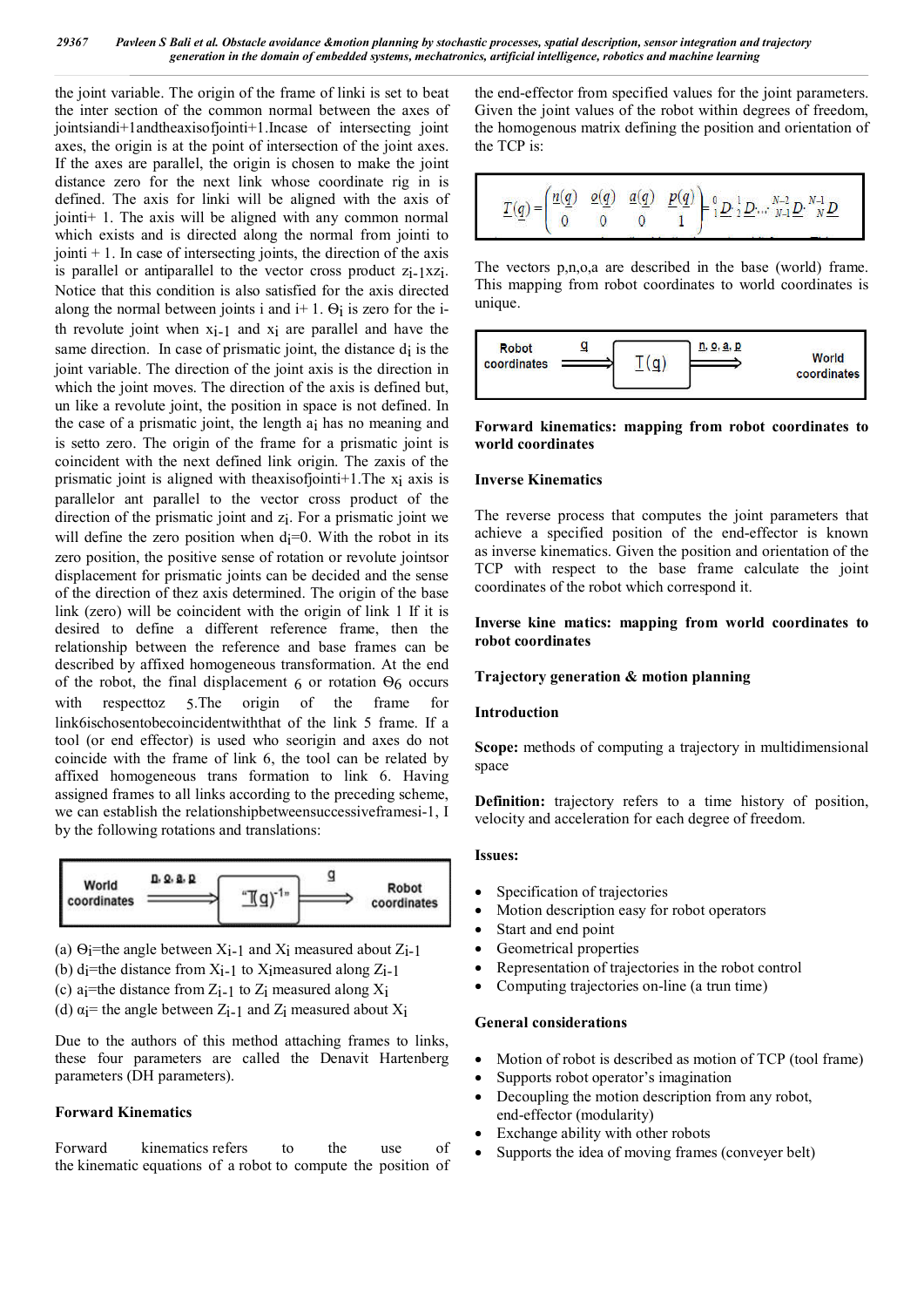*29367 Pavleen S Bali et al. Obstacle avoidance &motion planning by stochastic processes, spatial description, sensor integration and trajectory generation in the domain of embedded systems, mechatronics, artificial intelligence, robotics and machine learning*

the joint variable. The origin of the frame of linki is set to beat the inter section of the common normal between the axes of jointsiandi+1andtheaxisofjointi+1.Incase of intersecting joint axes, the origin is at the point of intersection of the joint axes. If the axes are parallel, the origin is chosen to make the joint distance zero for the next link whose coordinate rig in is defined. The axis for linki will be aligned with the axis of jointi+ 1. The axis will be aligned with any common normal which exists and is directed along the normal from jointi to jointi  $+1$ . In case of intersecting joints, the direction of the axis is parallel or antiparallel to the vector cross product zi-1xzi. Notice that this condition is also satisfied for the axis directed along the normal between joints i and i+ 1.  $\Theta$ i is zero for the ith revolute joint when  $x_i$ -1 and  $x_i$  are parallel and have the same direction. In case of prismatic joint, the distance d<sub>i</sub> is the joint variable. The direction of the joint axis is the direction in which the joint moves. The direction of the axis is defined but, un like a revolute joint, the position in space is not defined. In the case of a prismatic joint, the length ai has no meaning and is setto zero. The origin of the frame for a prismatic joint is coincident with the next defined link origin. The zaxis of the prismatic joint is aligned with theaxisofjointi+1.The xi axis is parallelor ant parallel to the vector cross product of the direction of the prismatic joint and z<sub>1</sub>. For a prismatic joint we will define the zero position when  $dj=0$ . With the robot in its zero position, the positive sense of rotation or revolute jointsor displacement for prismatic joints can be decided and the sense of the direction of thez axis determined. The origin of the base link (zero) will be coincident with the origin of link 1 If it is desired to define a different reference frame, then the relationship between the reference and base frames can be described by affixed homogeneous transformation. At the end of the robot, the final displacement 6 or rotation  $\Theta_6$  occurs with respecttoz 5. The origin of the frame for link6ischosentobecoincidentwiththat of the link 5 frame. If a tool (or end effector) is used who seorigin and axes do not coincide with the frame of link 6, the tool can be related by affixed homogeneous trans formation to link 6. Having assigned frames to all links according to the preceding scheme, we can establish the relationshipbetweensuccessiveframesi-1, I by the following rotations and translations:



(a)  $\Theta$ <sub>i</sub>=the angle between X<sub>i-1</sub> and X<sub>i</sub> measured about Z<sub>i-1</sub>

- (b) d<sub>i</sub>=the distance from  $X_{i-1}$  to  $X_i$  measured along  $Z_{i-1}$
- (c) a<sub>i</sub>=the distance from  $Z_{i-1}$  to  $Z_i$  measured along  $X_i$
- (d)  $\alpha$ <sup>-</sup> the angle between  $Z$ <sup>-</sup><sup>1</sup> and  $Z$ <sup>i</sup> measured about  $X$ <sup>i</sup>

Due to the authors of this method attaching frames to links, these four parameters are called the Denavit Hartenberg parameters (DH parameters).

# **Forward Kinematics**

Forward kinematics refers to the use of the kinematic equations of a robot to compute the position of the end-effector from specified values for the joint parameters. Given the joint values of the robot within degrees of freedom, the homogenous matrix defining the position and orientation of the TCP is:

$$
\underline{T}(\underline{q}) = \begin{pmatrix} \underline{n}(\underline{q}) & \underline{o}(\underline{q}) & \underline{a}(\underline{q}) & \underline{p}(\underline{q}) \\ 0 & 0 & 0 & 1 \end{pmatrix} \stackrel{\circ}{=} \underbrace{D \cdot \frac{1}{2} D \cdot \ldots \cdot \frac{N-2}{N-1} D \cdot \frac{N-1}{N} D}_{N-1}
$$

The vectors p,n,o,a are described in the base (world) frame. This mapping from robot coordinates to world coordinates is unique.



**Forward kinematics: mapping from robot coordinates to world coordinates**

#### **Inverse Kinematics**

The reverse process that computes the joint parameters that achieve a specified position of the end-effector is known as inverse kinematics. Given the position and orientation of the TCP with respect to the base frame calculate the joint coordinates of the robot which correspond it.

## **Inverse kine matics: mapping from world coordinates to robot coordinates**

#### **Trajectory generation & motion planning**

#### **Introduction**

**Scope:** methods of computing a trajectory in multidimensional space

**Definition:** trajectory refers to a time history of position, velocity and acceleration for each degree of freedom.

#### **Issues:**

- Specification of trajectories
- Motion description easy for robot operators
- Start and end point
- Geometrical properties
- Representation of trajectories in the robot control
- Computing trajectories on-line (a trun time)

#### **General considerations**

- Motion of robot is described as motion of TCP (tool frame)
- Supports robot operator's imagination
- Decoupling the motion description from any robot, end-effector (modularity)
- Exchange ability with other robots
- Supports the idea of moving frames (conveyer belt)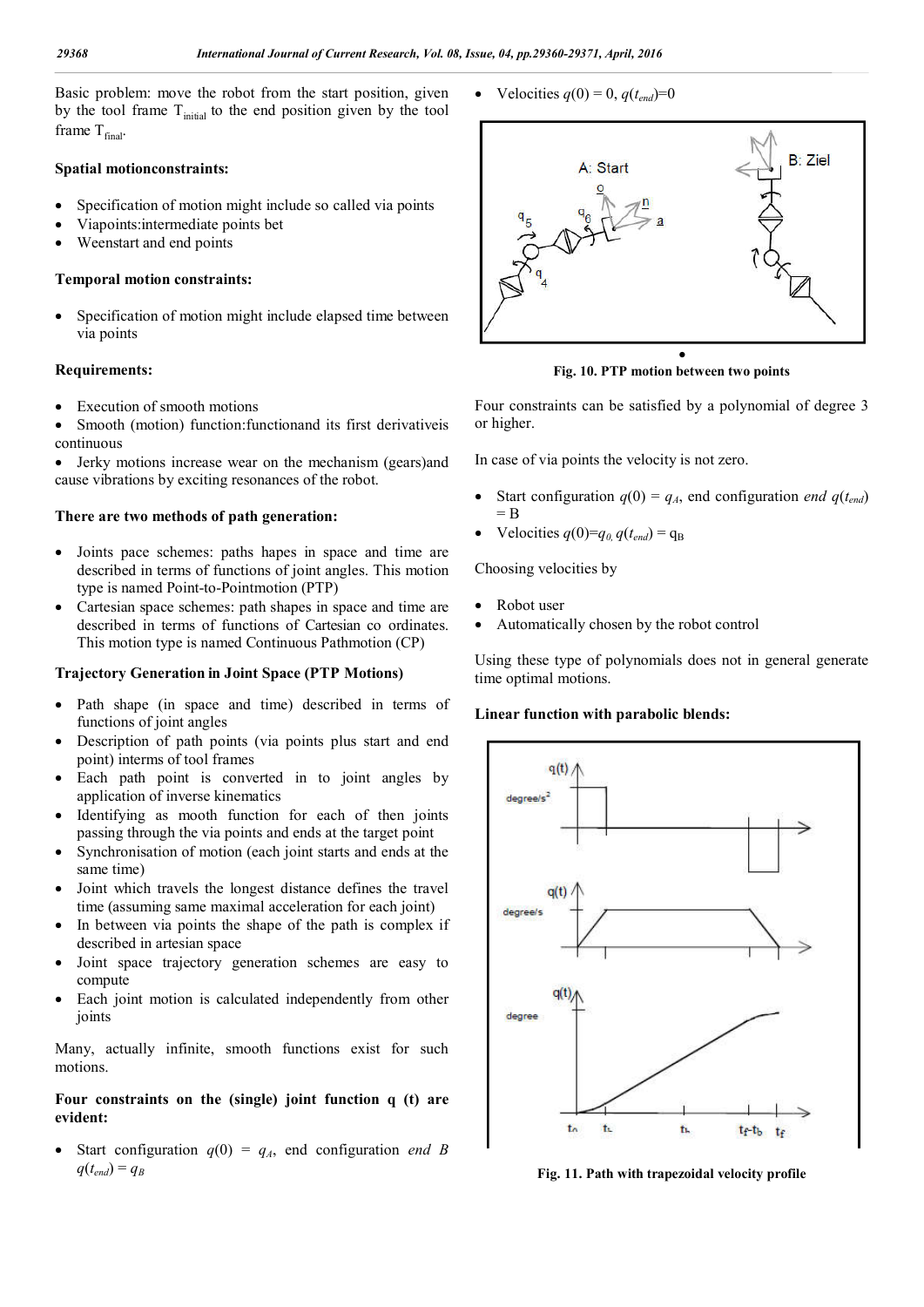Basic problem: move the robot from the start position, given by the tool frame  $T_{initial}$  to the end position given by the tool frame  $T_{final}$ .

#### **Spatial motionconstraints:**

- Specification of motion might include so called via points
- Viapoints:intermediate points bet
- Weenstart and end points

# **Temporal motion constraints:**

• Specification of motion might include elapsed time between via points

## **Requirements:**

- Execution of smooth motions
- Smooth (motion) function:functionand its first derivativeis continuous

 Jerky motions increase wear on the mechanism (gears)and cause vibrations by exciting resonances of the robot.

#### **There are two methods of path generation:**

- Joints pace schemes: paths hapes in space and time are described in terms of functions of joint angles. This motion type is named Point-to-Pointmotion (PTP)
- Cartesian space schemes: path shapes in space and time are described in terms of functions of Cartesian co ordinates. This motion type is named Continuous Pathmotion (CP)

#### **Trajectory Generation in Joint Space (PTP Motions)**

- Path shape (in space and time) described in terms of functions of joint angles
- Description of path points (via points plus start and end point) interms of tool frames
- Each path point is converted in to joint angles by application of inverse kinematics
- Identifying as mooth function for each of then joints passing through the via points and ends at the target point
- Synchronisation of motion (each joint starts and ends at the same time)
- Joint which travels the longest distance defines the travel time (assuming same maximal acceleration for each joint)
- In between via points the shape of the path is complex if described in artesian space
- Joint space trajectory generation schemes are easy to compute
- Each joint motion is calculated independently from other joints

Many, actually infinite, smooth functions exist for such motions.

# **Four constraints on the (single) joint function q (t) are evident:**

Start configuration  $q(0) = q_A$ , end configuration *end B*  $q(t_{end}) = q_B$ 





**Fig. 10. PTP motion between two points**

Four constraints can be satisfied by a polynomial of degree 3 or higher.

In case of via points the velocity is not zero.

- Start configuration  $q(0) = q_A$ , end configuration *end*  $q(t_{end})$  $=$  B
- Velocities  $q(0)=q_0$ ,  $q(t_{end})=q_B$

Choosing velocities by

- Robot user
- Automatically chosen by the robot control

Using these type of polynomials does not in general generate time optimal motions.

## **Linear function with parabolic blends:**



**Fig. 11. Path with trapezoidal velocity profile**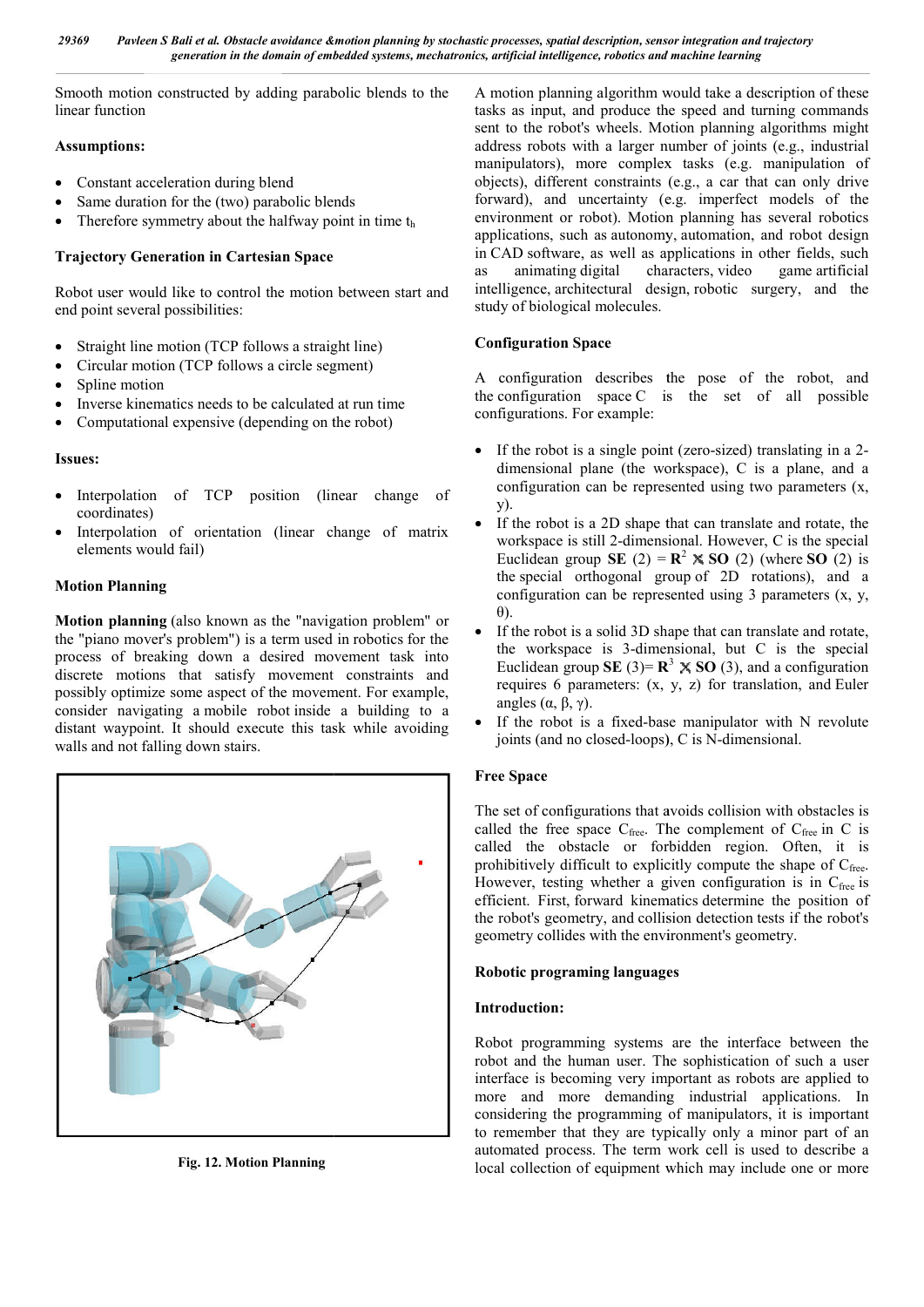Smooth motion constructed by adding parabolic blends to the linear function

# **Assumptions:**

- Constant acceleration during blend
- Same duration for the (two) parabolic blends
- Therefore symmetry about the halfway point in time  $t<sub>h</sub>$

# **Trajectory Generation in Cartesian Space**

Robot user would like to control the motion between start and end point several possibilities:

- Straight line motion (TCP follows a straight line)
- Circular motion (TCP follows a circle segment)
- Spline motion
- Inverse kinematics needs to be calculated at run time
- Computational expensive (depending on the robot)

# **Issues:**

- Interpolation of TCP position (linear change of coordinates)
- Interpolation of orientation (linear change of matrix elements would fail)

# **Motion Planning**

**Motion planning** (also known as the "navigation problem" or the "piano mover's problem") is a term used in robotics for the process of breaking down a desired movement task into discrete motions that satisfy movement constraints and possibly optimize some aspect of the movement. For example, consider navigating a mobile robot inside a building to a distant waypoint. It should execute this task while avoiding walls and not falling down stairs.



**Fig. 12. Motion Planning**

A motion planning algorithm would take a description of these tasks as input, and produce the speed and turning commands sent to the robot's wheels. Motion planning algorithms might address robots with a larger number of joints (e.g., industrial manipulators), more complex tasks (e.g. manipulation of objects), different constraints (e.g., a car that can only drive forward), and uncertainty (e.g. imperfect models of the environment or robot). Motion planning has several robotics applications, such as autonomy, automation, and robot design in CAD software, as well as applications in other fields, such as animating digital characters, intelligence, architectural design, robotic surgery, and the study of biological molecules. A motion planning algorithm would take a desc<br>tasks as input, and produce the speed and turn<br>sent to the robot's wheels. Motion planning al<br>address robots with a larger number of joints<br>manipulators), more complex tasks (e game artificial ation *planarity* by reacting the motion in the proposition state here are the planarity of the control of the control of the sensor integration of the control of the control of the rest in the relation of the relation of

# **Configuration Space**

A configuration describes the pose of the robot, and the configuration space  $C$  is the set of all possible configurations. For example: describes the pose of the robot, and space  $C$  is the set of all possible example:<br>example:<br>single point (zero-sized) translating in a 2-

- If the robot is a single point (zero-sized) translating in a 2dimensional plane (the workspace), C is a plane, and a configuration can be represented using two parameters (x, y). dimensional plane (the workspace), C is a plane, and a configuration can be represented using two parameters (x, y).<br>If the robot is a 2D shape that can translate and rotate, the workspace is still 2-dimensional. However,
- If the robot is a 2D shape that can translate and rotate, the Euclidean group **SE** (2) =  $\mathbb{R}^2 \times$  **SO** (2) (where **SO** (2) is the special orthogonal group of 2D rotations), and a configuration can be represented using  $3$  parameters  $(x, y, z)$ θ).
- If the robot is a solid 3D shape that can translate and rotate, the workspace is 3-dimensional, but C is the special If the robot is a solid 3D shape that can translate and rotate, the workspace is 3-dimensional, but C is the special Euclidean group  $SE(3) = R^3 \times SO(3)$ , and a configuration requires 6 parameters: (x, y, z) for translation, and Euler angles  $(α, β, γ)$ .
- If the robot is a fixed-base manipulator with N revolute joints (and no closed-loops), C is N-dimensional. joints (and no closed-loops), C is N-dimensional.

# **Free Space**

The set of configurations that avoids collision with obstacles is called the free space  $C_{\text{free}}$ . The complement of  $C_{\text{free}}$  in C is called the obstacle or forbidden region. Often, it is called the obstacle or forbidden region. Often, it is prohibitively difficult to explicitly compute the shape of  $C_{\text{free}}$ . However, testing whether a given configuration is in  $C_{\text{free}}$  is efficient. First, forward kinematics determine the position of the robot's geometry, and collision detection tests if the robot's geometry collides with the environment's geometry.

# **Robotic programing languages obotic languages**

# **Introduction:**

Robot programming systems are the interface between the Robot programming systems are the interface between the robot and the human user. The sophistication of such a user interface is becoming very important as robots are applied to more and more demanding industrial applications. In considering the programming of manipulators, it is important considering the programming of manipulators, it is important<br>to remember that they are typically only a minor part of an automated process. The term work cell is used to describe a local collection of equipment which may include one or more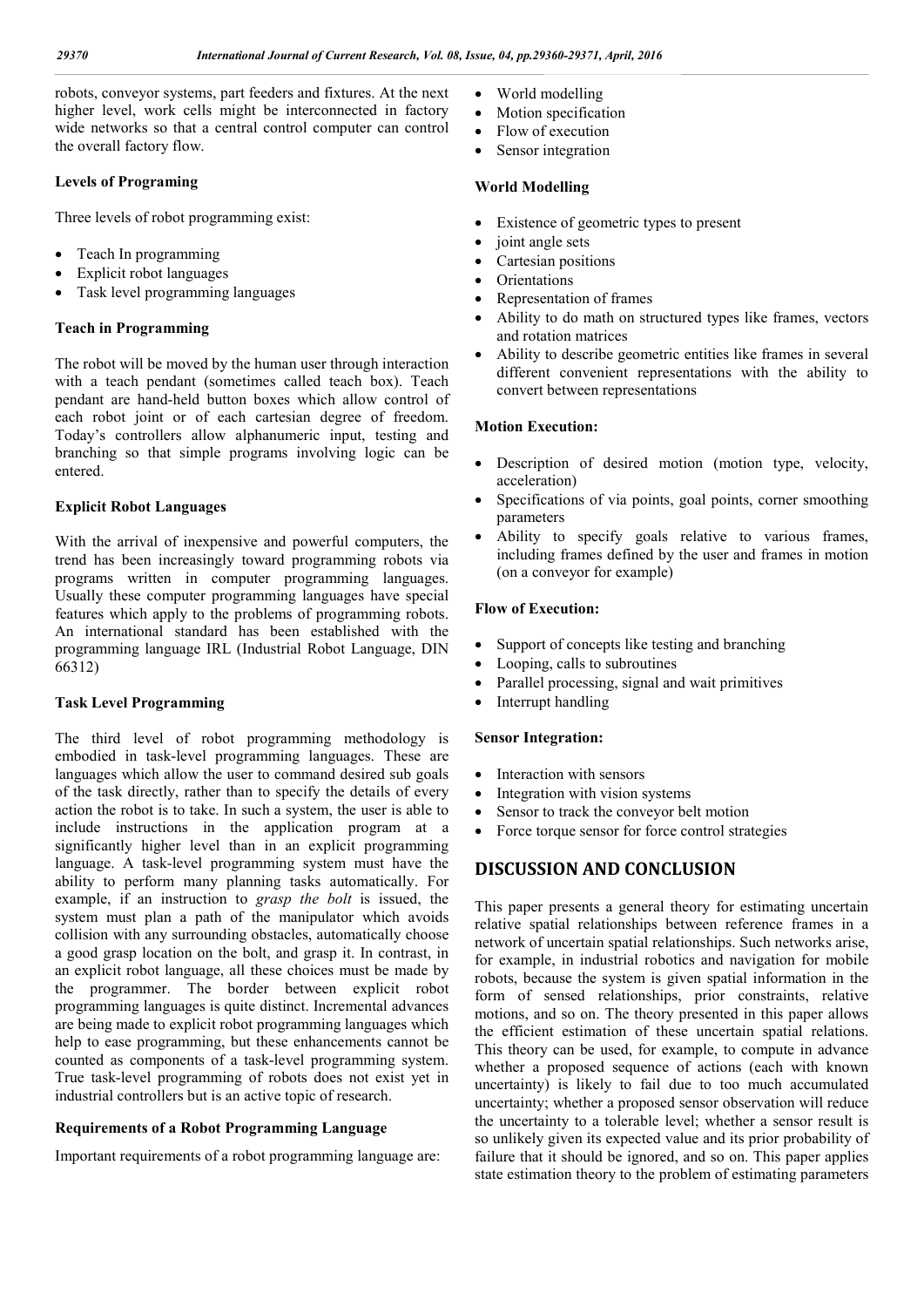robots, conveyor systems, part feeders and fixtures. At the next higher level, work cells might be interconnected in factory wide networks so that a central control computer can control the overall factory flow.

## **Levels of Programing**

Three levels of robot programming exist:

- Teach In programming
- Explicit robot languages
- Task level programming languages

## **Teach in Programming**

The robot will be moved by the human user through interaction with a teach pendant (sometimes called teach box). Teach pendant are hand-held button boxes which allow control of each robot joint or of each cartesian degree of freedom. Today's controllers allow alphanumeric input, testing and branching so that simple programs involving logic can be entered.

## **Explicit Robot Languages**

With the arrival of inexpensive and powerful computers, the trend has been increasingly toward programming robots via programs written in computer programming languages. Usually these computer programming languages have special features which apply to the problems of programming robots. An international standard has been established with the programming language IRL (Industrial Robot Language, DIN 66312)

# **Task Level Programming**

The third level of robot programming methodology is embodied in task-level programming languages. These are languages which allow the user to command desired sub goals of the task directly, rather than to specify the details of every action the robot is to take. In such a system, the user is able to include instructions in the application program at a significantly higher level than in an explicit programming language. A task-level programming system must have the ability to perform many planning tasks automatically. For example, if an instruction to *grasp the bolt* is issued, the system must plan a path of the manipulator which avoids collision with any surrounding obstacles, automatically choose a good grasp location on the bolt, and grasp it. In contrast, in an explicit robot language, all these choices must be made by the programmer. The border between explicit robot programming languages is quite distinct. Incremental advances are being made to explicit robot programming languages which help to ease programming, but these enhancements cannot be counted as components of a task-level programming system. True task-level programming of robots does not exist yet in industrial controllers but is an active topic of research.

## **Requirements of a Robot Programming Language**

Important requirements of a robot programming language are:

- World modelling
- Motion specification
- Flow of execution
- Sensor integration

## **World Modelling**

- Existence of geometric types to present
- joint angle sets
- Cartesian positions
- **Orientations**
- Representation of frames
- Ability to do math on structured types like frames, vectors and rotation matrices
- Ability to describe geometric entities like frames in several different convenient representations with the ability to convert between representations

# **Motion Execution:**

- Description of desired motion (motion type, velocity, acceleration)
- Specifications of via points, goal points, corner smoothing parameters
- Ability to specify goals relative to various frames, including frames defined by the user and frames in motion (on a conveyor for example)

# **Flow of Execution:**

- Support of concepts like testing and branching
- Looping, calls to subroutines
- Parallel processing, signal and wait primitives
- Interrupt handling

# **Sensor Integration:**

- Interaction with sensors
- Integration with vision systems
- Sensor to track the conveyor belt motion
- Force torque sensor for force control strategies

# **DISCUSSION AND CONCLUSION**

This paper presents a general theory for estimating uncertain relative spatial relationships between reference frames in a network of uncertain spatial relationships. Such networks arise, for example, in industrial robotics and navigation for mobile robots, because the system is given spatial information in the form of sensed relationships, prior constraints, relative motions, and so on. The theory presented in this paper allows the efficient estimation of these uncertain spatial relations. This theory can be used, for example, to compute in advance whether a proposed sequence of actions (each with known uncertainty) is likely to fail due to too much accumulated uncertainty; whether a proposed sensor observation will reduce the uncertainty to a tolerable level; whether a sensor result is so unlikely given its expected value and its prior probability of failure that it should be ignored, and so on. This paper applies state estimation theory to the problem of estimating parameters